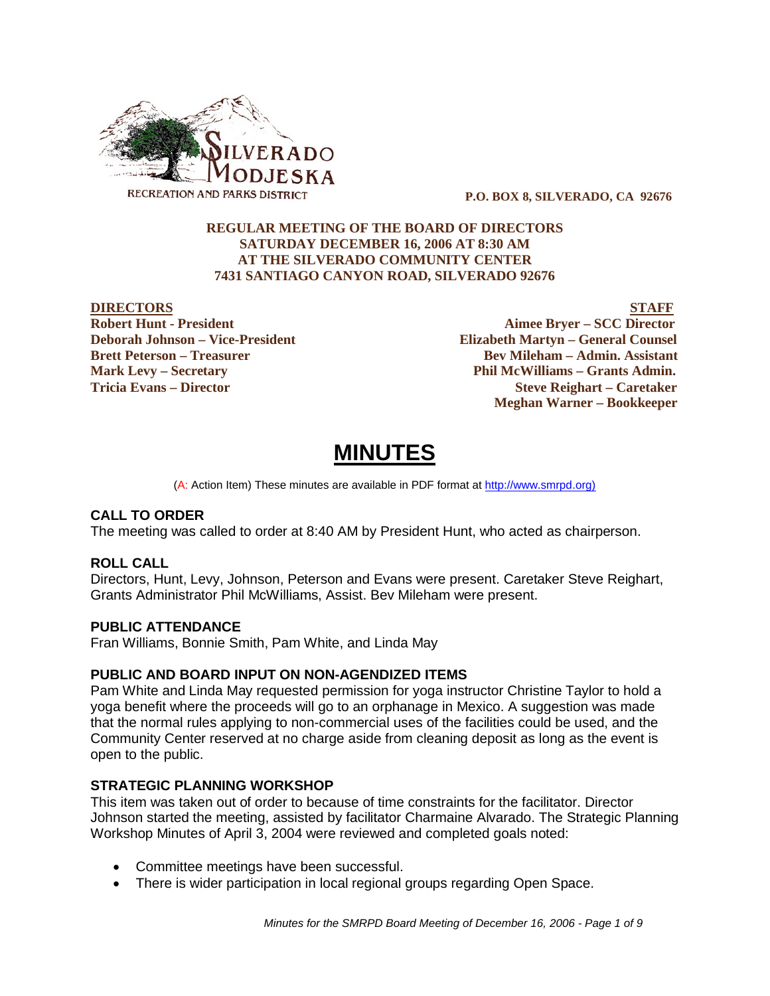

 **P.O. BOX 8, SILVERADO, CA 92676**

#### **REGULAR MEETING OF THE BOARD OF DIRECTORS SATURDAY DECEMBER 16, 2006 AT 8:30 AM AT THE SILVERADO COMMUNITY CENTER 7431 SANTIAGO CANYON ROAD, SILVERADO 92676**

**DIRECTORS STAFF Robert Hunt - President Aimee Bryer – SCC Director Deborah Johnson – Vice-President Elizabeth Martyn – General Counsel Brett Peterson – Treasurer States and Bev Mileham – Admin. Assistant Mark Levy – Secretary Phil McWilliams – Grants Admin. Tricia Evans – Director Steve Reighart – Caretaker Meghan Warner – Bookkeeper**

# **MINUTES**

(A: Action Item) These minutes are available in PDF format at http://www.smrpd.org)

#### **CALL TO ORDER**

The meeting was called to order at 8:40 AM by President Hunt, who acted as chairperson.

#### **ROLL CALL**

Directors, Hunt, Levy, Johnson, Peterson and Evans were present. Caretaker Steve Reighart, Grants Administrator Phil McWilliams, Assist. Bev Mileham were present.

#### **PUBLIC ATTENDANCE**

Fran Williams, Bonnie Smith, Pam White, and Linda May

#### **PUBLIC AND BOARD INPUT ON NON-AGENDIZED ITEMS**

Pam White and Linda May requested permission for yoga instructor Christine Taylor to hold a yoga benefit where the proceeds will go to an orphanage in Mexico. A suggestion was made that the normal rules applying to non-commercial uses of the facilities could be used, and the Community Center reserved at no charge aside from cleaning deposit as long as the event is open to the public.

#### **STRATEGIC PLANNING WORKSHOP**

This item was taken out of order to because of time constraints for the facilitator. Director Johnson started the meeting, assisted by facilitator Charmaine Alvarado. The Strategic Planning Workshop Minutes of April 3, 2004 were reviewed and completed goals noted:

- Committee meetings have been successful.
- There is wider participation in local regional groups regarding Open Space.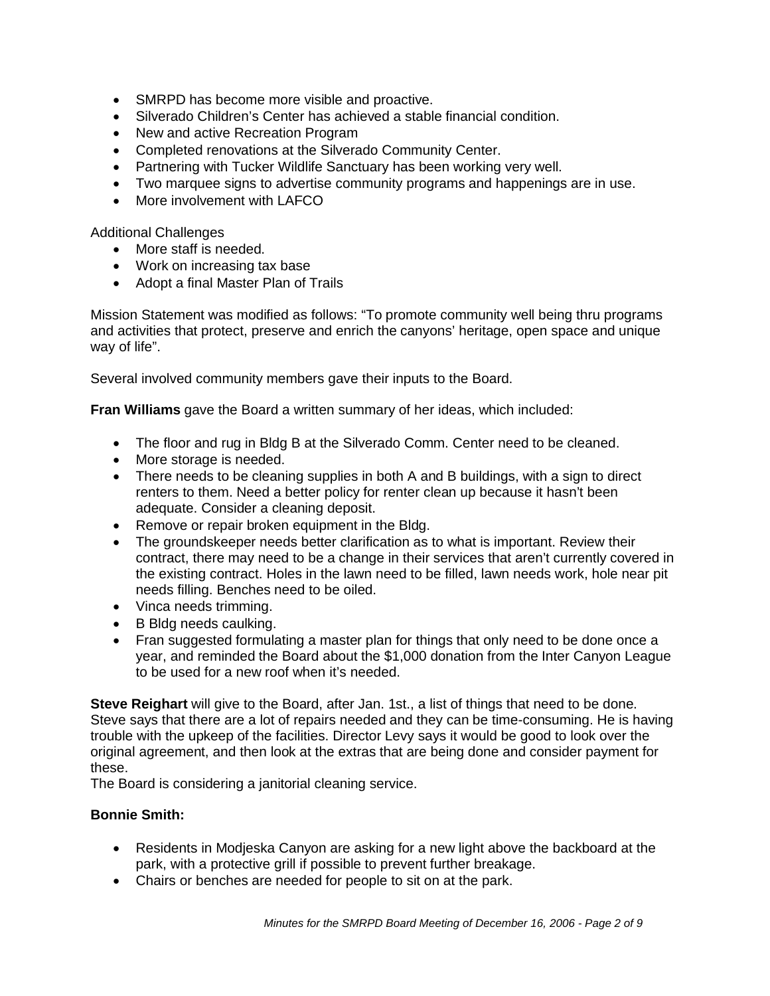- SMRPD has become more visible and proactive.
- Silverado Children's Center has achieved a stable financial condition.
- New and active Recreation Program
- Completed renovations at the Silverado Community Center.
- Partnering with Tucker Wildlife Sanctuary has been working very well.
- Two marquee signs to advertise community programs and happenings are in use.
- More involvement with LAFCO

Additional Challenges

- More staff is needed.
- Work on increasing tax base
- Adopt a final Master Plan of Trails

Mission Statement was modified as follows: "To promote community well being thru programs and activities that protect, preserve and enrich the canyons' heritage, open space and unique way of life".

Several involved community members gave their inputs to the Board.

**Fran Williams** gave the Board a written summary of her ideas, which included:

- The floor and rug in Bldg B at the Silverado Comm. Center need to be cleaned.
- More storage is needed.
- There needs to be cleaning supplies in both A and B buildings, with a sign to direct renters to them. Need a better policy for renter clean up because it hasn't been adequate. Consider a cleaning deposit.
- Remove or repair broken equipment in the Bldg.
- The groundskeeper needs better clarification as to what is important. Review their contract, there may need to be a change in their services that aren't currently covered in the existing contract. Holes in the lawn need to be filled, lawn needs work, hole near pit needs filling. Benches need to be oiled.
- Vinca needs trimming.
- B Bldg needs caulking.
- Fran suggested formulating a master plan for things that only need to be done once a year, and reminded the Board about the \$1,000 donation from the Inter Canyon League to be used for a new roof when it's needed.

**Steve Reighart** will give to the Board, after Jan. 1st., a list of things that need to be done. Steve says that there are a lot of repairs needed and they can be time-consuming. He is having trouble with the upkeep of the facilities. Director Levy says it would be good to look over the original agreement, and then look at the extras that are being done and consider payment for these.

The Board is considering a janitorial cleaning service.

#### **Bonnie Smith:**

- Residents in Modjeska Canyon are asking for a new light above the backboard at the park, with a protective grill if possible to prevent further breakage.
- Chairs or benches are needed for people to sit on at the park.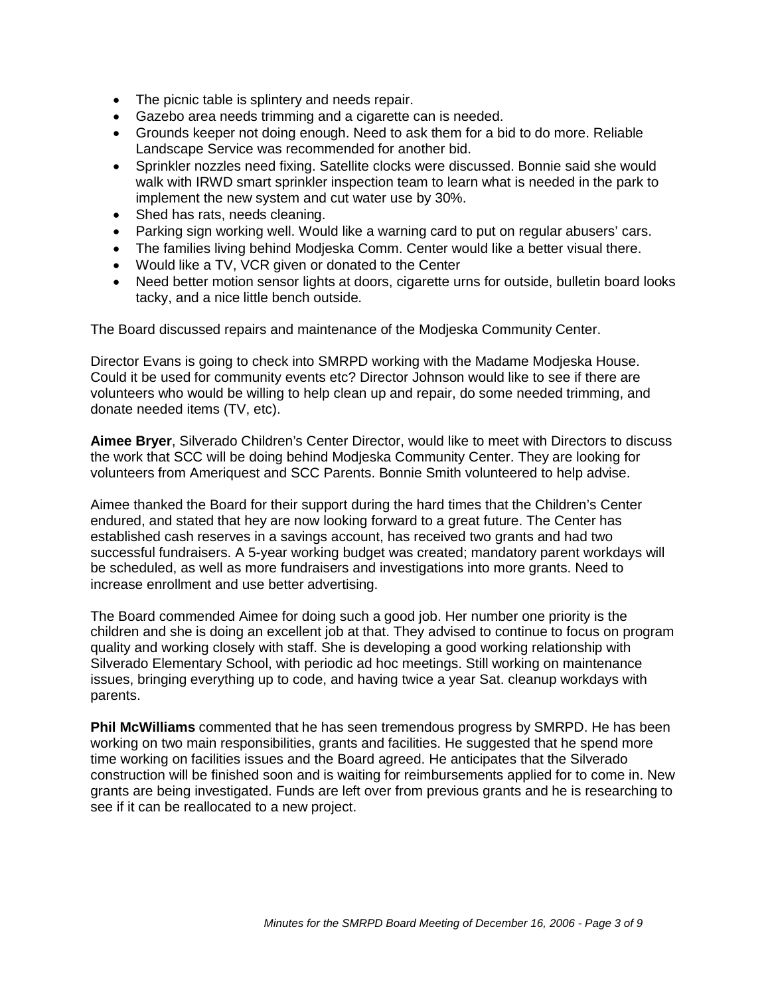- The picnic table is splintery and needs repair.
- Gazebo area needs trimming and a cigarette can is needed.
- Grounds keeper not doing enough. Need to ask them for a bid to do more. Reliable Landscape Service was recommended for another bid.
- Sprinkler nozzles need fixing. Satellite clocks were discussed. Bonnie said she would walk with IRWD smart sprinkler inspection team to learn what is needed in the park to implement the new system and cut water use by 30%.
- Shed has rats, needs cleaning.
- Parking sign working well. Would like a warning card to put on regular abusers' cars.
- The families living behind Modjeska Comm. Center would like a better visual there.
- Would like a TV, VCR given or donated to the Center
- Need better motion sensor lights at doors, cigarette urns for outside, bulletin board looks tacky, and a nice little bench outside.

The Board discussed repairs and maintenance of the Modjeska Community Center.

Director Evans is going to check into SMRPD working with the Madame Modjeska House. Could it be used for community events etc? Director Johnson would like to see if there are volunteers who would be willing to help clean up and repair, do some needed trimming, and donate needed items (TV, etc).

**Aimee Bryer**, Silverado Children's Center Director, would like to meet with Directors to discuss the work that SCC will be doing behind Modjeska Community Center. They are looking for volunteers from Ameriquest and SCC Parents. Bonnie Smith volunteered to help advise.

Aimee thanked the Board for their support during the hard times that the Children's Center endured, and stated that hey are now looking forward to a great future. The Center has established cash reserves in a savings account, has received two grants and had two successful fundraisers. A 5-year working budget was created; mandatory parent workdays will be scheduled, as well as more fundraisers and investigations into more grants. Need to increase enrollment and use better advertising.

The Board commended Aimee for doing such a good job. Her number one priority is the children and she is doing an excellent job at that. They advised to continue to focus on program quality and working closely with staff. She is developing a good working relationship with Silverado Elementary School, with periodic ad hoc meetings. Still working on maintenance issues, bringing everything up to code, and having twice a year Sat. cleanup workdays with parents.

**Phil McWilliams** commented that he has seen tremendous progress by SMRPD. He has been working on two main responsibilities, grants and facilities. He suggested that he spend more time working on facilities issues and the Board agreed. He anticipates that the Silverado construction will be finished soon and is waiting for reimbursements applied for to come in. New grants are being investigated. Funds are left over from previous grants and he is researching to see if it can be reallocated to a new project.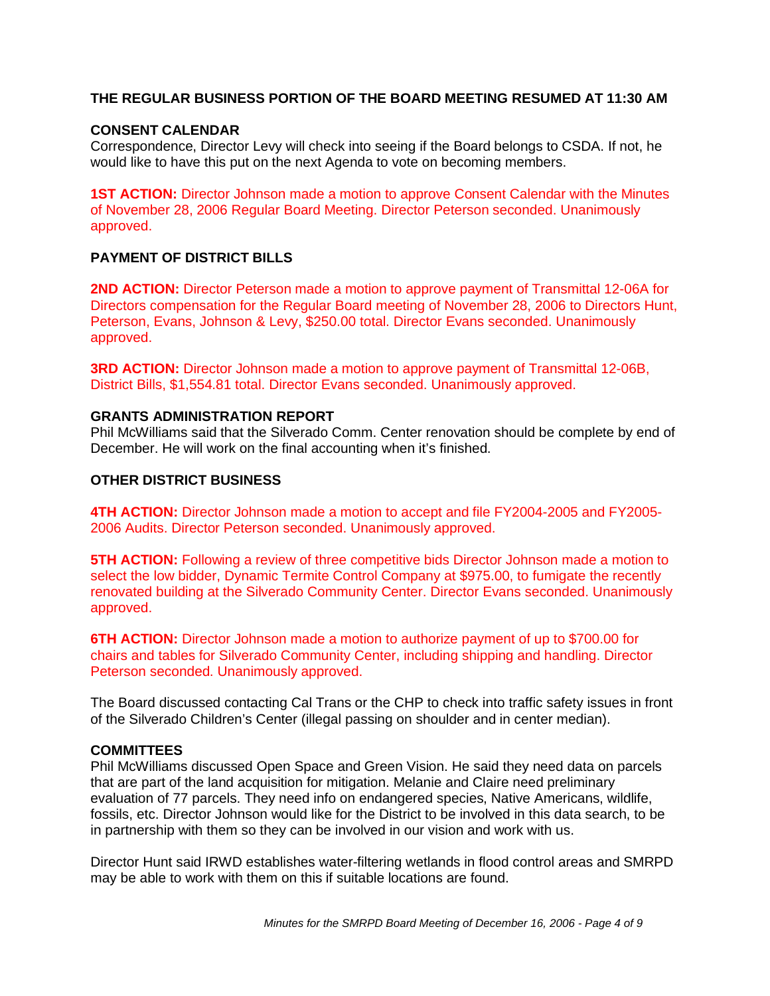#### **THE REGULAR BUSINESS PORTION OF THE BOARD MEETING RESUMED AT 11:30 AM**

#### **CONSENT CALENDAR**

Correspondence, Director Levy will check into seeing if the Board belongs to CSDA. If not, he would like to have this put on the next Agenda to vote on becoming members.

**1ST ACTION:** Director Johnson made a motion to approve Consent Calendar with the Minutes of November 28, 2006 Regular Board Meeting. Director Peterson seconded. Unanimously approved.

#### **PAYMENT OF DISTRICT BILLS**

**2ND ACTION:** Director Peterson made a motion to approve payment of Transmittal 12-06A for Directors compensation for the Regular Board meeting of November 28, 2006 to Directors Hunt, Peterson, Evans, Johnson & Levy, \$250.00 total. Director Evans seconded. Unanimously approved.

**3RD ACTION:** Director Johnson made a motion to approve payment of Transmittal 12-06B, District Bills, \$1,554.81 total. Director Evans seconded. Unanimously approved.

#### **GRANTS ADMINISTRATION REPORT**

Phil McWilliams said that the Silverado Comm. Center renovation should be complete by end of December. He will work on the final accounting when it's finished.

#### **OTHER DISTRICT BUSINESS**

**4TH ACTION:** Director Johnson made a motion to accept and file FY2004-2005 and FY2005- 2006 Audits. Director Peterson seconded. Unanimously approved.

**5TH ACTION:** Following a review of three competitive bids Director Johnson made a motion to select the low bidder, Dynamic Termite Control Company at \$975.00, to fumigate the recently renovated building at the Silverado Community Center. Director Evans seconded. Unanimously approved.

**6TH ACTION:** Director Johnson made a motion to authorize payment of up to \$700.00 for chairs and tables for Silverado Community Center, including shipping and handling. Director Peterson seconded. Unanimously approved.

The Board discussed contacting Cal Trans or the CHP to check into traffic safety issues in front of the Silverado Children's Center (illegal passing on shoulder and in center median).

#### **COMMITTEES**

Phil McWilliams discussed Open Space and Green Vision. He said they need data on parcels that are part of the land acquisition for mitigation. Melanie and Claire need preliminary evaluation of 77 parcels. They need info on endangered species, Native Americans, wildlife, fossils, etc. Director Johnson would like for the District to be involved in this data search, to be in partnership with them so they can be involved in our vision and work with us.

Director Hunt said IRWD establishes water-filtering wetlands in flood control areas and SMRPD may be able to work with them on this if suitable locations are found.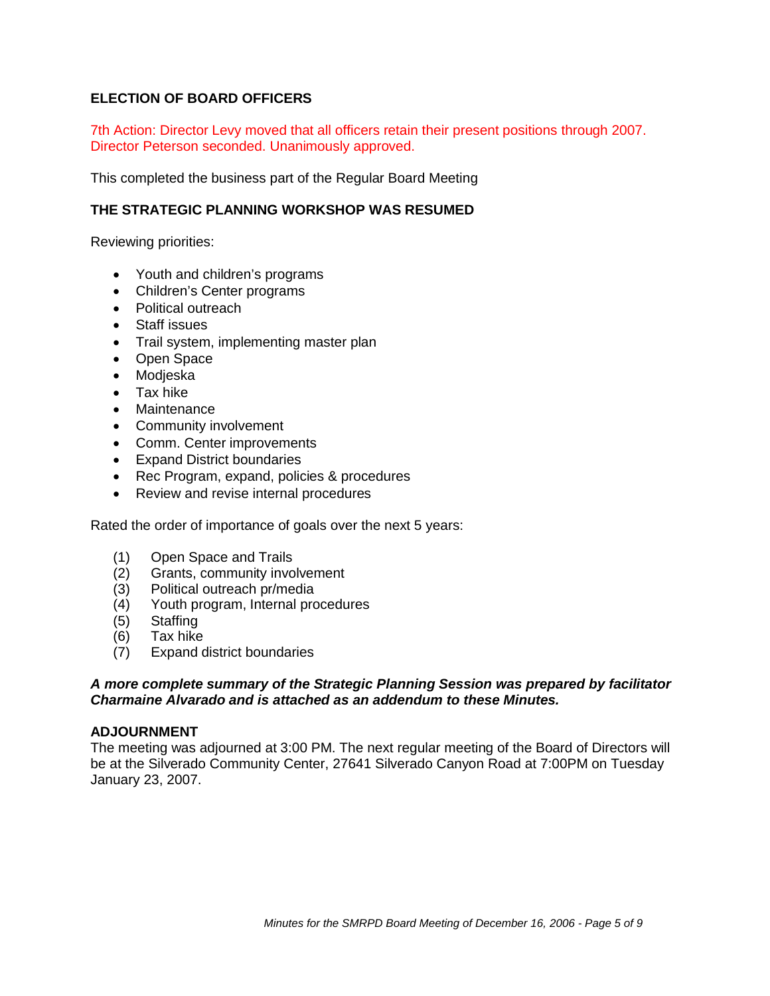#### **ELECTION OF BOARD OFFICERS**

7th Action: Director Levy moved that all officers retain their present positions through 2007. Director Peterson seconded. Unanimously approved.

This completed the business part of the Regular Board Meeting

#### **THE STRATEGIC PLANNING WORKSHOP WAS RESUMED**

Reviewing priorities:

- Youth and children's programs
- Children's Center programs
- Political outreach
- Staff issues
- Trail system, implementing master plan
- Open Space
- Modieska
- Tax hike
- Maintenance
- Community involvement
- Comm. Center improvements
- **Expand District boundaries**
- Rec Program, expand, policies & procedures
- Review and revise internal procedures

Rated the order of importance of goals over the next 5 years:

- (1) Open Space and Trails
- (2) Grants, community involvement
- (3) Political outreach pr/media
- (4) Youth program, Internal procedures
- (5) Staffing
- (6) Tax hike
- (7) Expand district boundaries

#### *A more complete summary of the Strategic Planning Session was prepared by facilitator Charmaine Alvarado and is attached as an addendum to these Minutes.*

#### **ADJOURNMENT**

The meeting was adjourned at 3:00 PM. The next regular meeting of the Board of Directors will be at the Silverado Community Center, 27641 Silverado Canyon Road at 7:00PM on Tuesday January 23, 2007.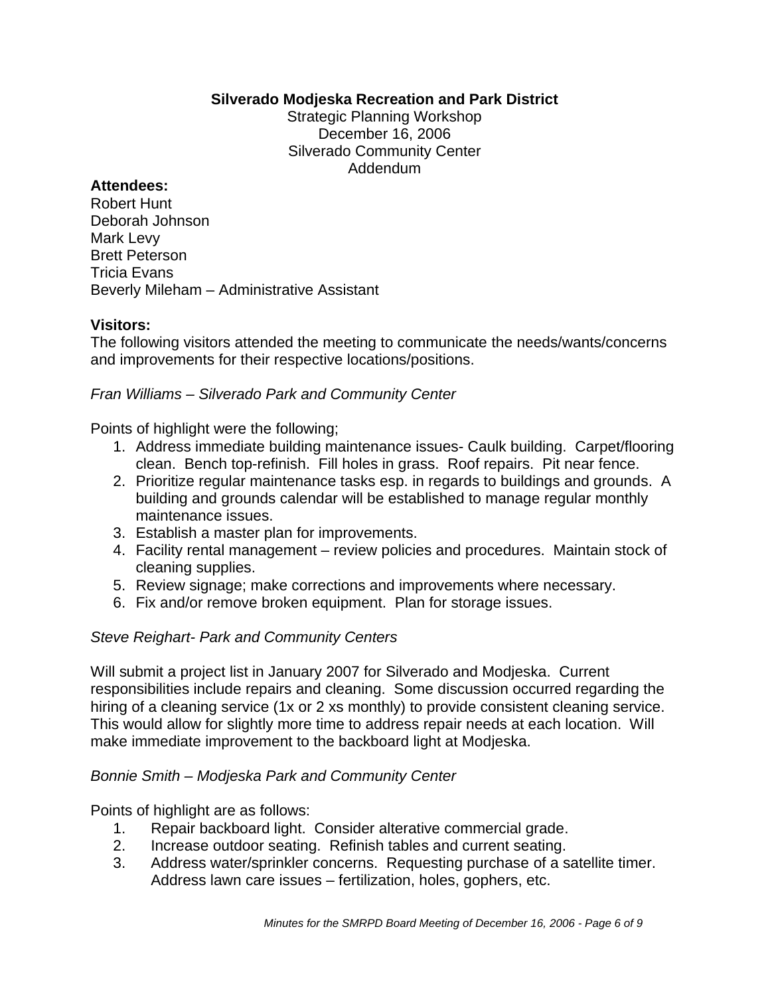## **Silverado Modjeska Recreation and Park District**

Strategic Planning Workshop December 16, 2006 Silverado Community Center Addendum

## **Attendees:**

Robert Hunt Deborah Johnson Mark Levy Brett Peterson Tricia Evans Beverly Mileham – Administrative Assistant

## **Visitors:**

The following visitors attended the meeting to communicate the needs/wants/concerns and improvements for their respective locations/positions.

## *Fran Williams – Silverado Park and Community Center*

Points of highlight were the following;

- 1. Address immediate building maintenance issues- Caulk building. Carpet/flooring clean. Bench top-refinish. Fill holes in grass. Roof repairs. Pit near fence.
- 2. Prioritize regular maintenance tasks esp. in regards to buildings and grounds. A building and grounds calendar will be established to manage regular monthly maintenance issues.
- 3. Establish a master plan for improvements.
- 4. Facility rental management review policies and procedures. Maintain stock of cleaning supplies.
- 5. Review signage; make corrections and improvements where necessary.
- 6. Fix and/or remove broken equipment. Plan for storage issues.

## *Steve Reighart- Park and Community Centers*

Will submit a project list in January 2007 for Silverado and Modjeska. Current responsibilities include repairs and cleaning. Some discussion occurred regarding the hiring of a cleaning service (1x or 2 xs monthly) to provide consistent cleaning service. This would allow for slightly more time to address repair needs at each location. Will make immediate improvement to the backboard light at Modjeska.

## *Bonnie Smith – Modjeska Park and Community Center*

Points of highlight are as follows:

- 1. Repair backboard light. Consider alterative commercial grade.
- 2. Increase outdoor seating. Refinish tables and current seating.
- 3. Address water/sprinkler concerns. Requesting purchase of a satellite timer. Address lawn care issues – fertilization, holes, gophers, etc.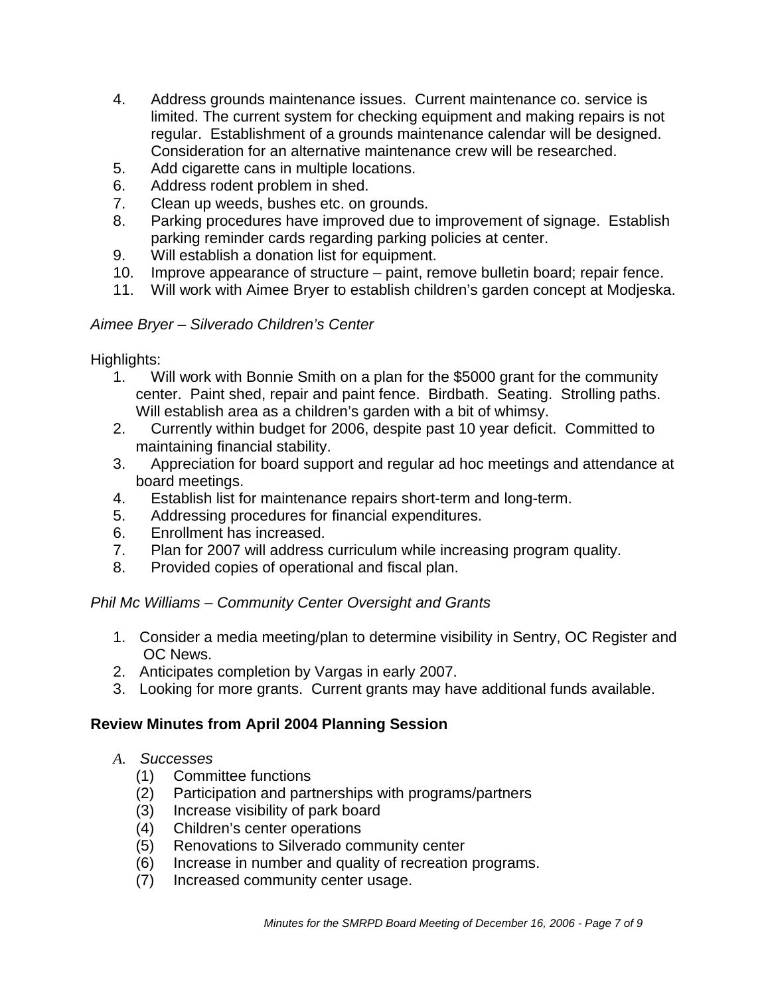- 4. Address grounds maintenance issues. Current maintenance co. service is limited. The current system for checking equipment and making repairs is not regular. Establishment of a grounds maintenance calendar will be designed. Consideration for an alternative maintenance crew will be researched.
- 5. Add cigarette cans in multiple locations.
- 6. Address rodent problem in shed.
- 7. Clean up weeds, bushes etc. on grounds.
- 8. Parking procedures have improved due to improvement of signage. Establish parking reminder cards regarding parking policies at center.
- 9. Will establish a donation list for equipment.
- 10. Improve appearance of structure paint, remove bulletin board; repair fence.
- 11. Will work with Aimee Bryer to establish children's garden concept at Modjeska.

## *Aimee Bryer – Silverado Children's Center*

Highlights:

- 1. Will work with Bonnie Smith on a plan for the \$5000 grant for the community center. Paint shed, repair and paint fence. Birdbath. Seating. Strolling paths. Will establish area as a children's garden with a bit of whimsy.
- 2. Currently within budget for 2006, despite past 10 year deficit. Committed to maintaining financial stability.
- 3. Appreciation for board support and regular ad hoc meetings and attendance at board meetings.
- 4. Establish list for maintenance repairs short-term and long-term.
- 5. Addressing procedures for financial expenditures.
- 6. Enrollment has increased.
- 7. Plan for 2007 will address curriculum while increasing program quality.
- 8. Provided copies of operational and fiscal plan.

## *Phil Mc Williams – Community Center Oversight and Grants*

- 1. Consider a media meeting/plan to determine visibility in Sentry, OC Register and OC News.
- 2. Anticipates completion by Vargas in early 2007.
- 3. Looking for more grants. Current grants may have additional funds available.

## **Review Minutes from April 2004 Planning Session**

## *A. Successes*

- (1) Committee functions
- (2) Participation and partnerships with programs/partners
- (3) Increase visibility of park board
- (4) Children's center operations
- (5) Renovations to Silverado community center
- (6) Increase in number and quality of recreation programs.
- (7) Increased community center usage.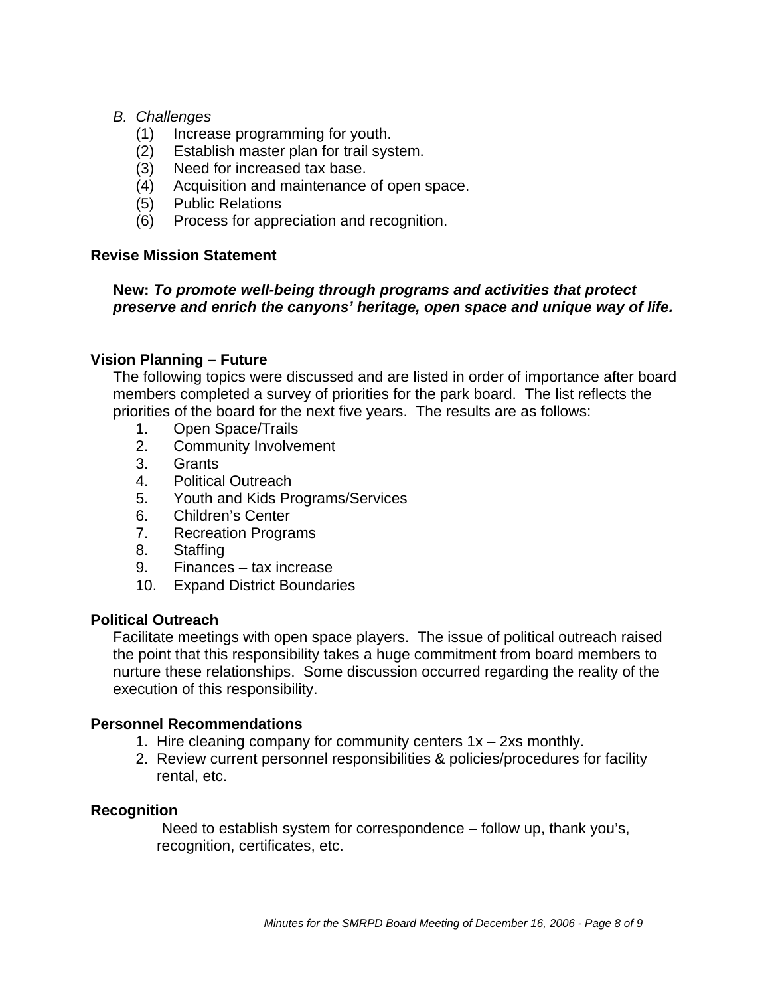## *B. Challenges*

- (1) Increase programming for youth.
- (2) Establish master plan for trail system.
- (3) Need for increased tax base.
- (4) Acquisition and maintenance of open space.
- (5) Public Relations
- (6) Process for appreciation and recognition.

## **Revise Mission Statement**

## **New:** *To promote well-being through programs and activities that protect preserve and enrich the canyons' heritage, open space and unique way of life.*

## **Vision Planning – Future**

The following topics were discussed and are listed in order of importance after board members completed a survey of priorities for the park board. The list reflects the priorities of the board for the next five years. The results are as follows:

- 1. Open Space/Trails
- 2. Community Involvement
- 3. Grants
- 4. Political Outreach
- 5. Youth and Kids Programs/Services
- 6. Children's Center
- 7. Recreation Programs
- 8. Staffing
- 9. Finances tax increase
- 10. Expand District Boundaries

## **Political Outreach**

Facilitate meetings with open space players. The issue of political outreach raised the point that this responsibility takes a huge commitment from board members to nurture these relationships. Some discussion occurred regarding the reality of the execution of this responsibility.

## **Personnel Recommendations**

- 1. Hire cleaning company for community centers 1x 2xs monthly.
- 2. Review current personnel responsibilities & policies/procedures for facility rental, etc.

## **Recognition**

Need to establish system for correspondence – follow up, thank you's, recognition, certificates, etc.